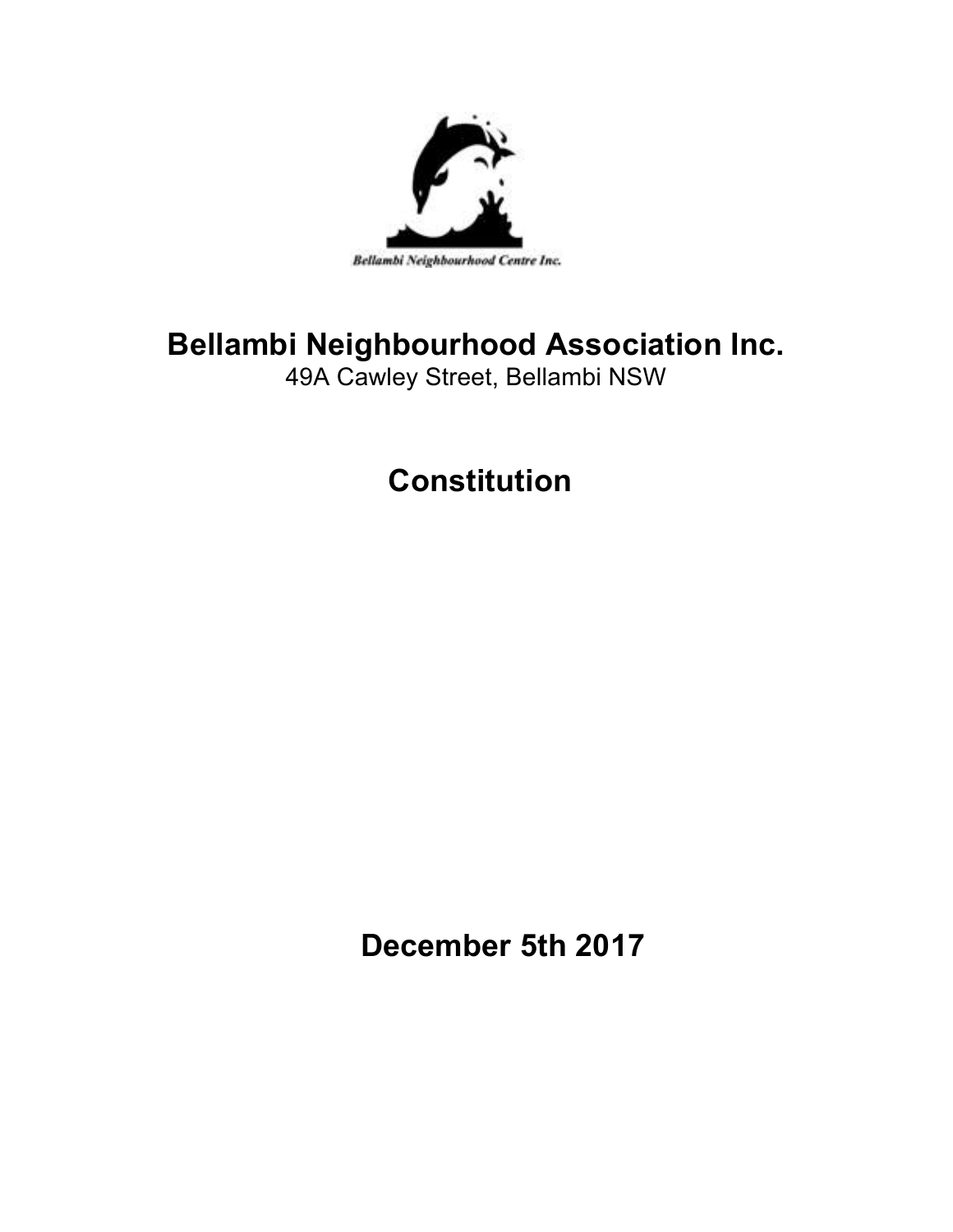

# **Bellambi Neighbourhood Association Inc.**

49A Cawley Street, Bellambi NSW

# **Constitution**

**December 5th 2017**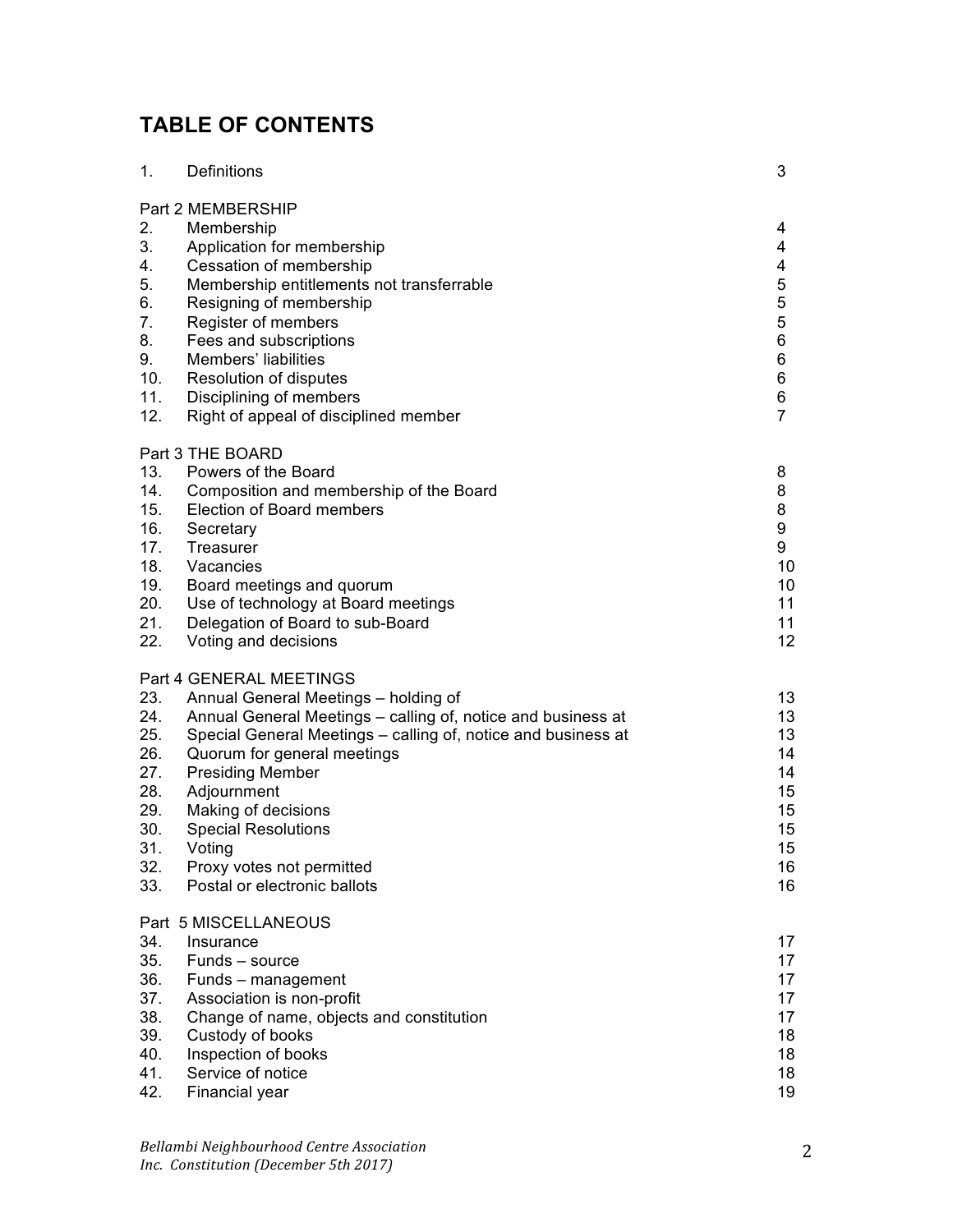# **TABLE OF CONTENTS**

| 1.                                                                 | Definitions                                                                                                                                                                                                                                                                                                                             | 3                                                                |
|--------------------------------------------------------------------|-----------------------------------------------------------------------------------------------------------------------------------------------------------------------------------------------------------------------------------------------------------------------------------------------------------------------------------------|------------------------------------------------------------------|
| 2.<br>3.<br>4.<br>5.<br>6.<br>7.<br>8.<br>9.<br>10.<br>11.<br>12.  | Part 2 MEMBERSHIP<br>Membership<br>Application for membership<br>Cessation of membership<br>Membership entitlements not transferrable<br>Resigning of membership<br>Register of members<br>Fees and subscriptions<br>Members' liabilities<br>Resolution of disputes<br>Disciplining of members<br>Right of appeal of disciplined member | 4<br>4<br>4<br>5<br>5<br>5<br>6<br>6<br>6<br>6<br>$\overline{7}$ |
| 13.<br>14.<br>15.<br>16.<br>17.<br>18.<br>19.<br>20.<br>21.<br>22. | Part 3 THE BOARD<br>Powers of the Board<br>Composition and membership of the Board<br>Election of Board members<br>Secretary<br>Treasurer<br>Vacancies<br>Board meetings and quorum<br>Use of technology at Board meetings<br>Delegation of Board to sub-Board<br>Voting and decisions                                                  | 8<br>8<br>8<br>9<br>9<br>10<br>10<br>11<br>11<br>12              |
| 23.<br>24.<br>25.<br>26.                                           | Part 4 GENERAL MEETINGS<br>Annual General Meetings - holding of<br>Annual General Meetings - calling of, notice and business at<br>Special General Meetings - calling of, notice and business at                                                                                                                                        | 13<br>13<br>13<br>14                                             |
| 27.<br>28.<br>29.<br>30.<br>31.<br>32.                             | Quorum for general meetings<br><b>Presiding Member</b><br>Adjournment<br>Making of decisions<br><b>Special Resolutions</b><br>Voting<br>Proxy votes not permitted                                                                                                                                                                       | 14<br>15<br>15<br>15<br>15<br>16                                 |
| 33.                                                                | Postal or electronic ballots                                                                                                                                                                                                                                                                                                            | 16                                                               |
| 34.<br>35.<br>36.<br>37.<br>38.<br>39.<br>40.<br>41.<br>42.        | Part 5 MISCELLANEOUS<br>Insurance<br>Funds - source<br>Funds - management<br>Association is non-profit<br>Change of name, objects and constitution<br>Custody of books<br>Inspection of books<br>Service of notice<br>Financial year                                                                                                    | 17<br>17<br>17<br>17<br>17<br>18<br>18<br>18<br>19               |

*Bellambi Neighbourhood Centre Association Inc. Constitution (December 5th 2017)*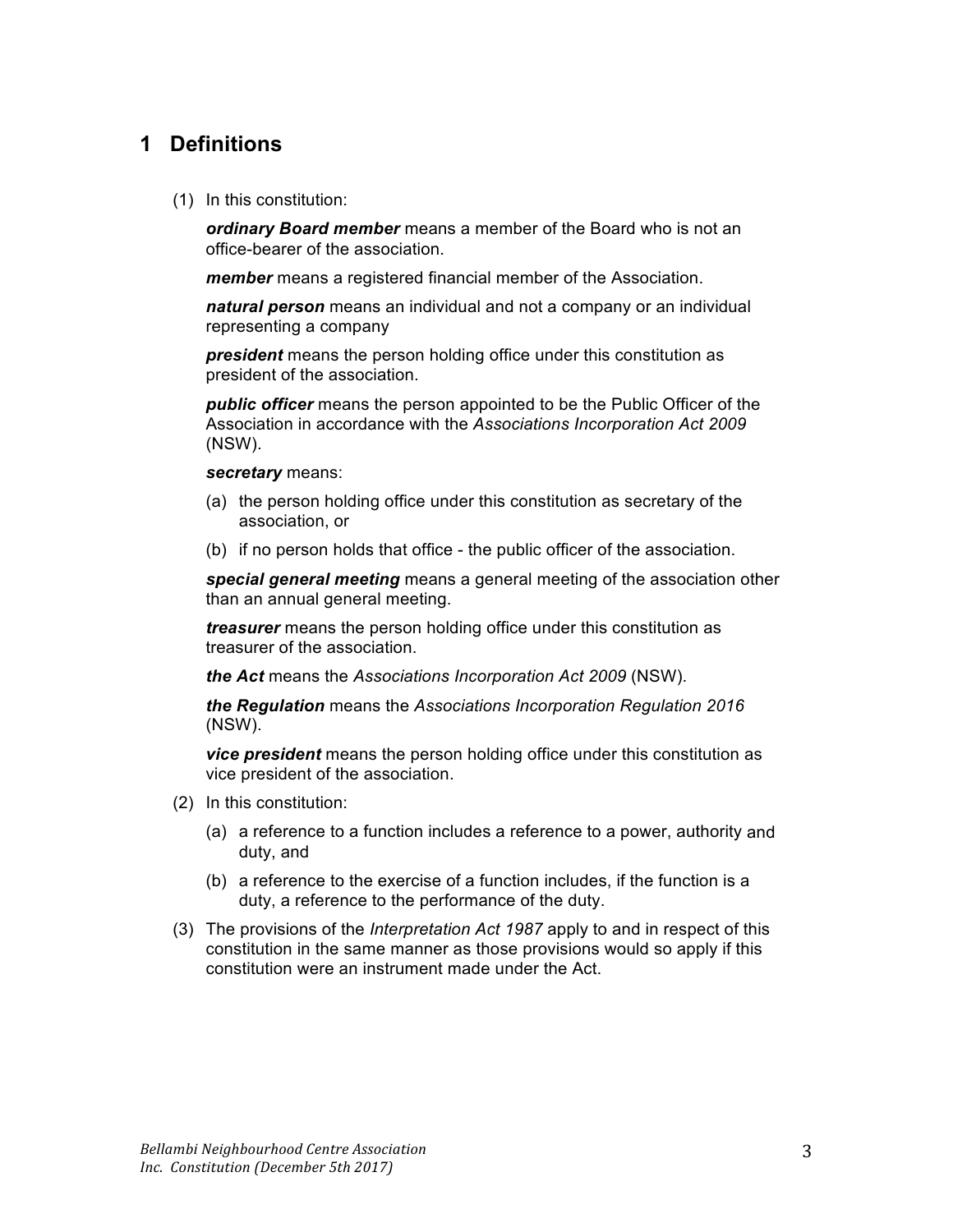## **1 Definitions**

(1) In this constitution:

*ordinary Board member* means a member of the Board who is not an office-bearer of the association.

*member* means a registered financial member of the Association.

*natural person* means an individual and not a company or an individual representing a company

*president* means the person holding office under this constitution as president of the association.

*public officer* means the person appointed to be the Public Officer of the Association in accordance with the *Associations Incorporation Act 2009* (NSW).

#### *secretary* means:

- (a) the person holding office under this constitution as secretary of the association, or
- (b) if no person holds that office the public officer of the association.

*special general meeting* means a general meeting of the association other than an annual general meeting.

*treasurer* means the person holding office under this constitution as treasurer of the association.

*the Act* means the *Associations Incorporation Act 2009* (NSW).

*the Regulation* means the *Associations Incorporation Regulation 2016* (NSW).

*vice president* means the person holding office under this constitution as vice president of the association.

- (2) In this constitution:
	- (a) a reference to a function includes a reference to a power, authority and duty, and
	- (b) a reference to the exercise of a function includes, if the function is a duty, a reference to the performance of the duty.
- (3) The provisions of the *Interpretation Act 1987* apply to and in respect of this constitution in the same manner as those provisions would so apply if this constitution were an instrument made under the Act.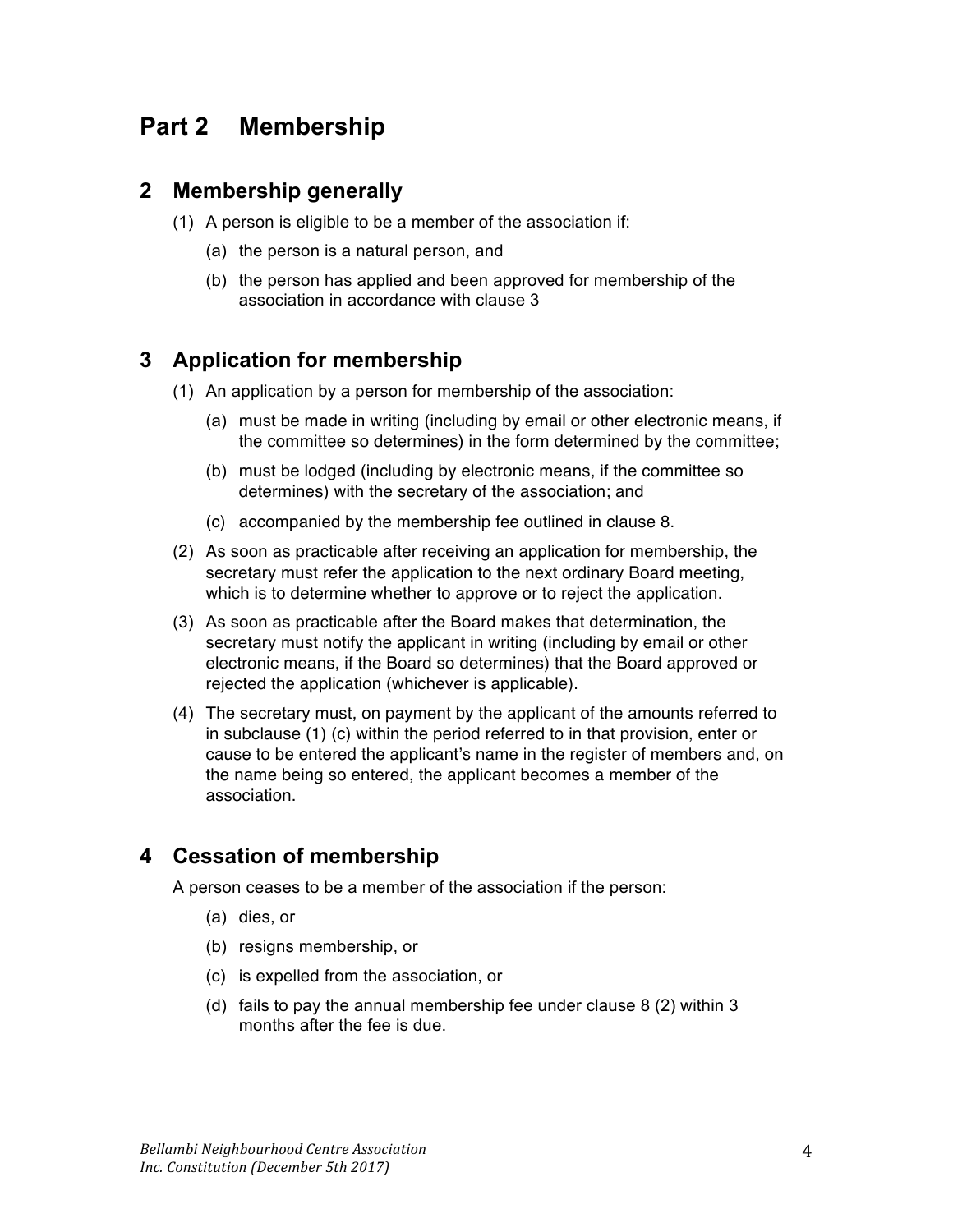## **Part 2 Membership**

## **2 Membership generally**

- (1) A person is eligible to be a member of the association if:
	- (a) the person is a natural person, and
	- (b) the person has applied and been approved for membership of the association in accordance with clause 3

## **3 Application for membership**

- (1) An application by a person for membership of the association:
	- (a) must be made in writing (including by email or other electronic means, if the committee so determines) in the form determined by the committee;
	- (b) must be lodged (including by electronic means, if the committee so determines) with the secretary of the association; and
	- (c) accompanied by the membership fee outlined in clause 8.
- (2) As soon as practicable after receiving an application for membership, the secretary must refer the application to the next ordinary Board meeting, which is to determine whether to approve or to reject the application.
- (3) As soon as practicable after the Board makes that determination, the secretary must notify the applicant in writing (including by email or other electronic means, if the Board so determines) that the Board approved or rejected the application (whichever is applicable).
- (4) The secretary must, on payment by the applicant of the amounts referred to in subclause (1) (c) within the period referred to in that provision, enter or cause to be entered the applicant's name in the register of members and, on the name being so entered, the applicant becomes a member of the association.

## **4 Cessation of membership**

A person ceases to be a member of the association if the person:

- (a) dies, or
- (b) resigns membership, or
- (c) is expelled from the association, or
- (d) fails to pay the annual membership fee under clause 8 (2) within 3 months after the fee is due.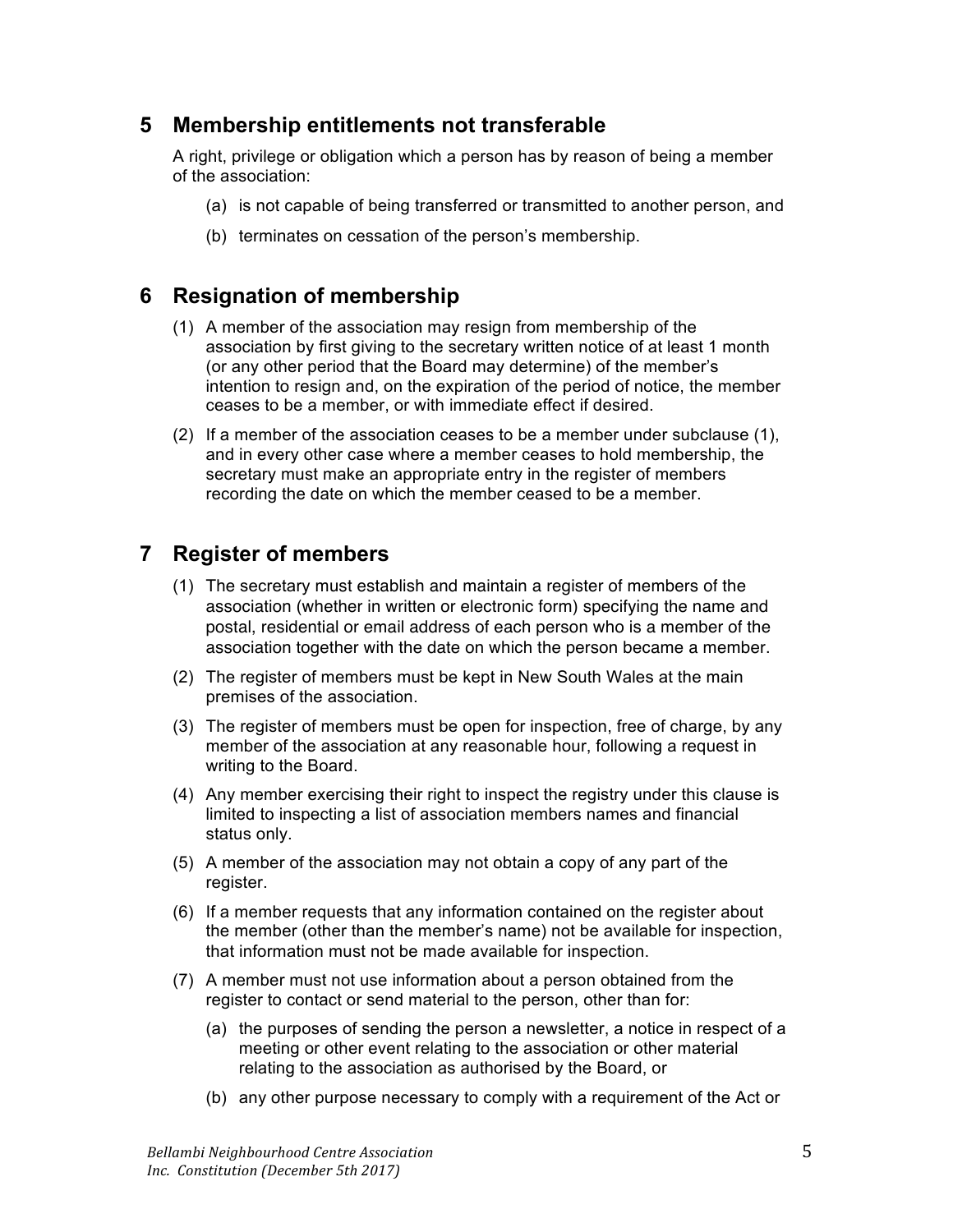## **5 Membership entitlements not transferable**

A right, privilege or obligation which a person has by reason of being a member of the association:

- (a) is not capable of being transferred or transmitted to another person, and
- (b) terminates on cessation of the person's membership.

#### **6 Resignation of membership**

- (1) A member of the association may resign from membership of the association by first giving to the secretary written notice of at least 1 month (or any other period that the Board may determine) of the member's intention to resign and, on the expiration of the period of notice, the member ceases to be a member, or with immediate effect if desired.
- (2) If a member of the association ceases to be a member under subclause (1), and in every other case where a member ceases to hold membership, the secretary must make an appropriate entry in the register of members recording the date on which the member ceased to be a member.

## **7 Register of members**

- (1) The secretary must establish and maintain a register of members of the association (whether in written or electronic form) specifying the name and postal, residential or email address of each person who is a member of the association together with the date on which the person became a member.
- (2) The register of members must be kept in New South Wales at the main premises of the association.
- (3) The register of members must be open for inspection, free of charge, by any member of the association at any reasonable hour, following a request in writing to the Board.
- (4) Any member exercising their right to inspect the registry under this clause is limited to inspecting a list of association members names and financial status only.
- (5) A member of the association may not obtain a copy of any part of the register.
- (6) If a member requests that any information contained on the register about the member (other than the member's name) not be available for inspection, that information must not be made available for inspection.
- (7) A member must not use information about a person obtained from the register to contact or send material to the person, other than for:
	- (a) the purposes of sending the person a newsletter, a notice in respect of a meeting or other event relating to the association or other material relating to the association as authorised by the Board, or
	- (b) any other purpose necessary to comply with a requirement of the Act or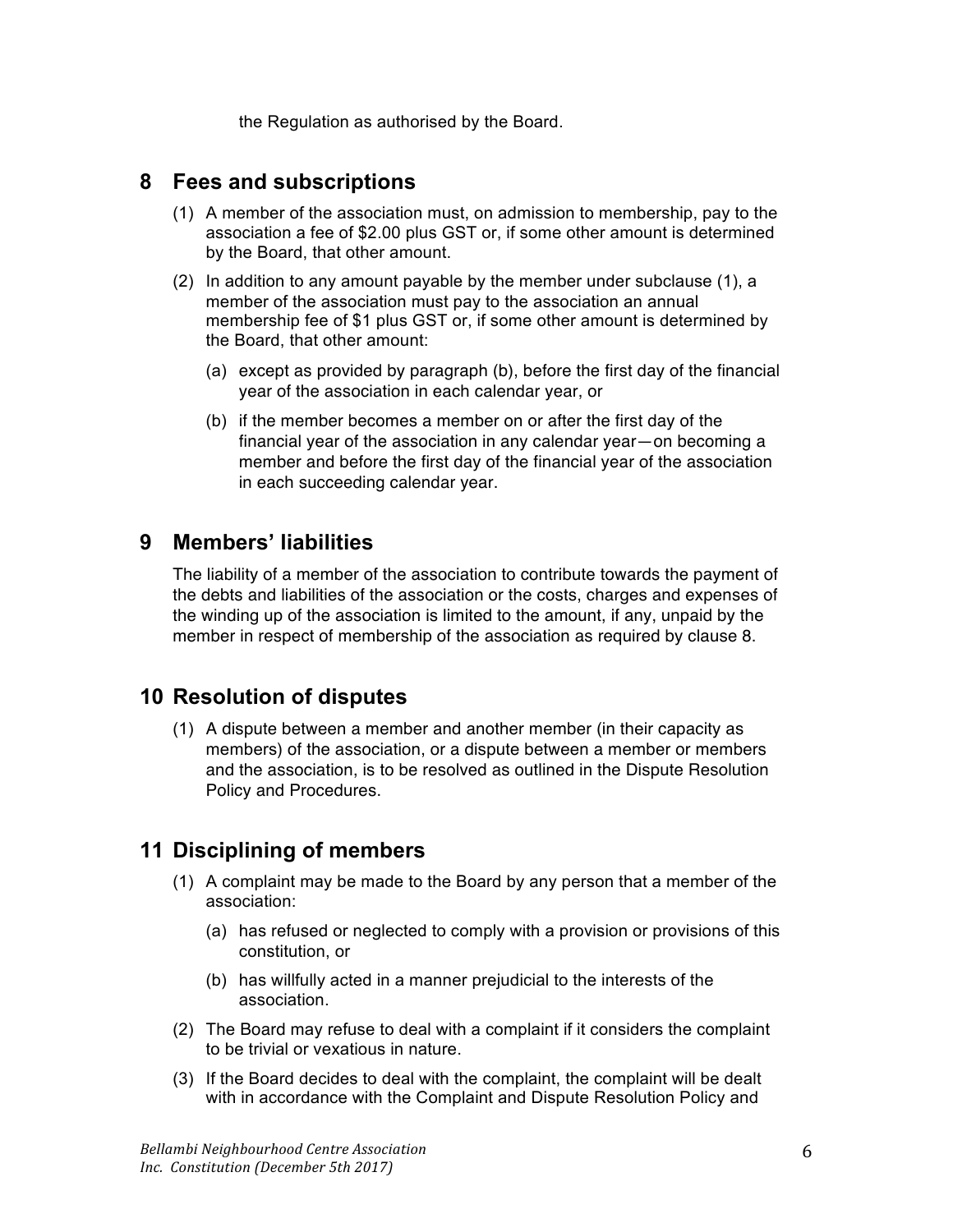the Regulation as authorised by the Board.

#### **8 Fees and subscriptions**

- (1) A member of the association must, on admission to membership, pay to the association a fee of \$2.00 plus GST or, if some other amount is determined by the Board, that other amount.
- (2) In addition to any amount payable by the member under subclause (1), a member of the association must pay to the association an annual membership fee of \$1 plus GST or, if some other amount is determined by the Board, that other amount:
	- (a) except as provided by paragraph (b), before the first day of the financial year of the association in each calendar year, or
	- (b) if the member becomes a member on or after the first day of the financial year of the association in any calendar year—on becoming a member and before the first day of the financial year of the association in each succeeding calendar year.

## **9 Members' liabilities**

The liability of a member of the association to contribute towards the payment of the debts and liabilities of the association or the costs, charges and expenses of the winding up of the association is limited to the amount, if any, unpaid by the member in respect of membership of the association as required by clause 8.

## **10 Resolution of disputes**

(1) A dispute between a member and another member (in their capacity as members) of the association, or a dispute between a member or members and the association, is to be resolved as outlined in the Dispute Resolution Policy and Procedures.

## **11 Disciplining of members**

- (1) A complaint may be made to the Board by any person that a member of the association:
	- (a) has refused or neglected to comply with a provision or provisions of this constitution, or
	- (b) has willfully acted in a manner prejudicial to the interests of the association.
- (2) The Board may refuse to deal with a complaint if it considers the complaint to be trivial or vexatious in nature.
- (3) If the Board decides to deal with the complaint, the complaint will be dealt with in accordance with the Complaint and Dispute Resolution Policy and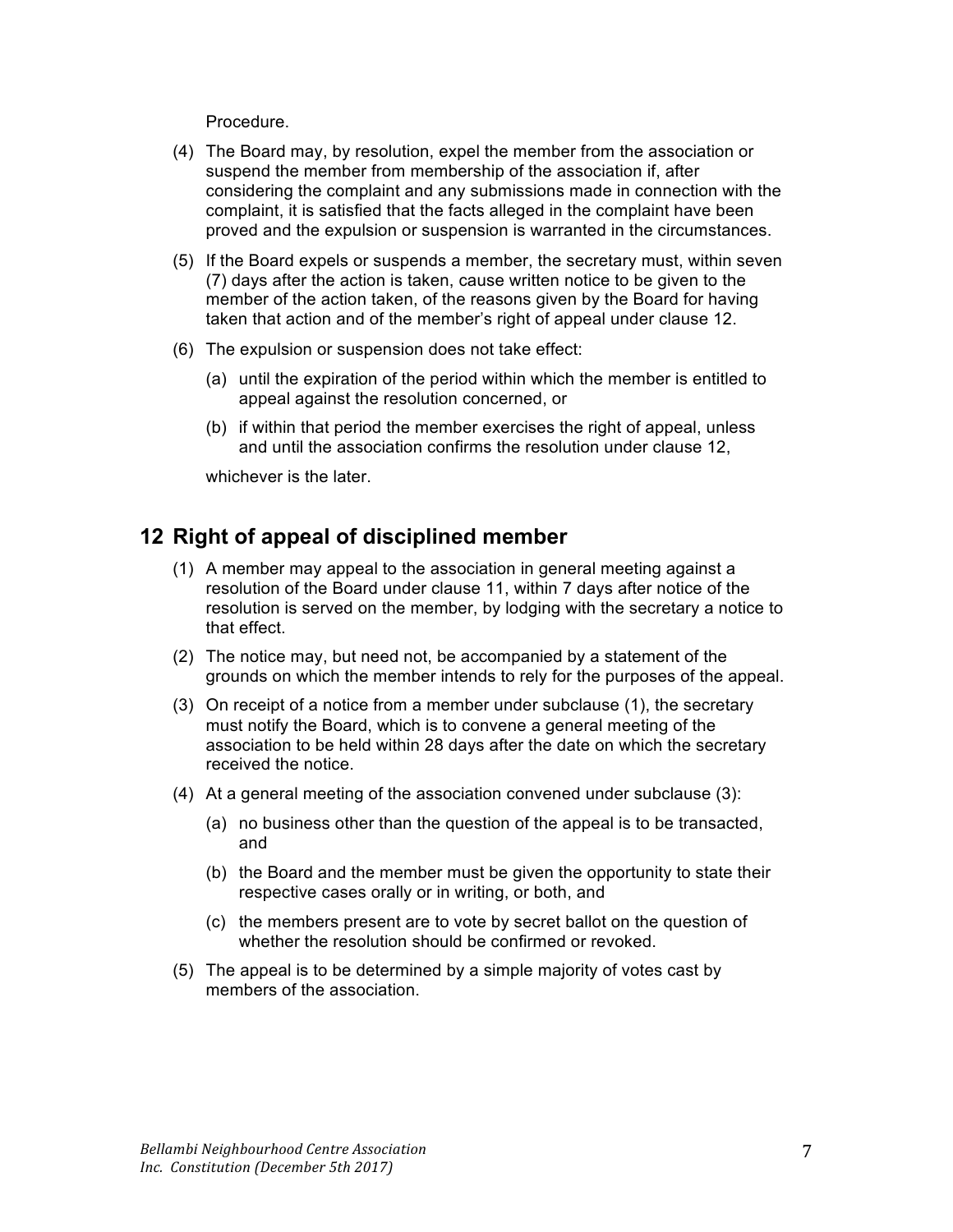Procedure.

- (4) The Board may, by resolution, expel the member from the association or suspend the member from membership of the association if, after considering the complaint and any submissions made in connection with the complaint, it is satisfied that the facts alleged in the complaint have been proved and the expulsion or suspension is warranted in the circumstances.
- (5) If the Board expels or suspends a member, the secretary must, within seven (7) days after the action is taken, cause written notice to be given to the member of the action taken, of the reasons given by the Board for having taken that action and of the member's right of appeal under clause 12.
- (6) The expulsion or suspension does not take effect:
	- (a) until the expiration of the period within which the member is entitled to appeal against the resolution concerned, or
	- (b) if within that period the member exercises the right of appeal, unless and until the association confirms the resolution under clause 12,

whichever is the later.

## **12 Right of appeal of disciplined member**

- (1) A member may appeal to the association in general meeting against a resolution of the Board under clause 11, within 7 days after notice of the resolution is served on the member, by lodging with the secretary a notice to that effect.
- (2) The notice may, but need not, be accompanied by a statement of the grounds on which the member intends to rely for the purposes of the appeal.
- (3) On receipt of a notice from a member under subclause (1), the secretary must notify the Board, which is to convene a general meeting of the association to be held within 28 days after the date on which the secretary received the notice.
- (4) At a general meeting of the association convened under subclause (3):
	- (a) no business other than the question of the appeal is to be transacted, and
	- (b) the Board and the member must be given the opportunity to state their respective cases orally or in writing, or both, and
	- (c) the members present are to vote by secret ballot on the question of whether the resolution should be confirmed or revoked.
- (5) The appeal is to be determined by a simple majority of votes cast by members of the association.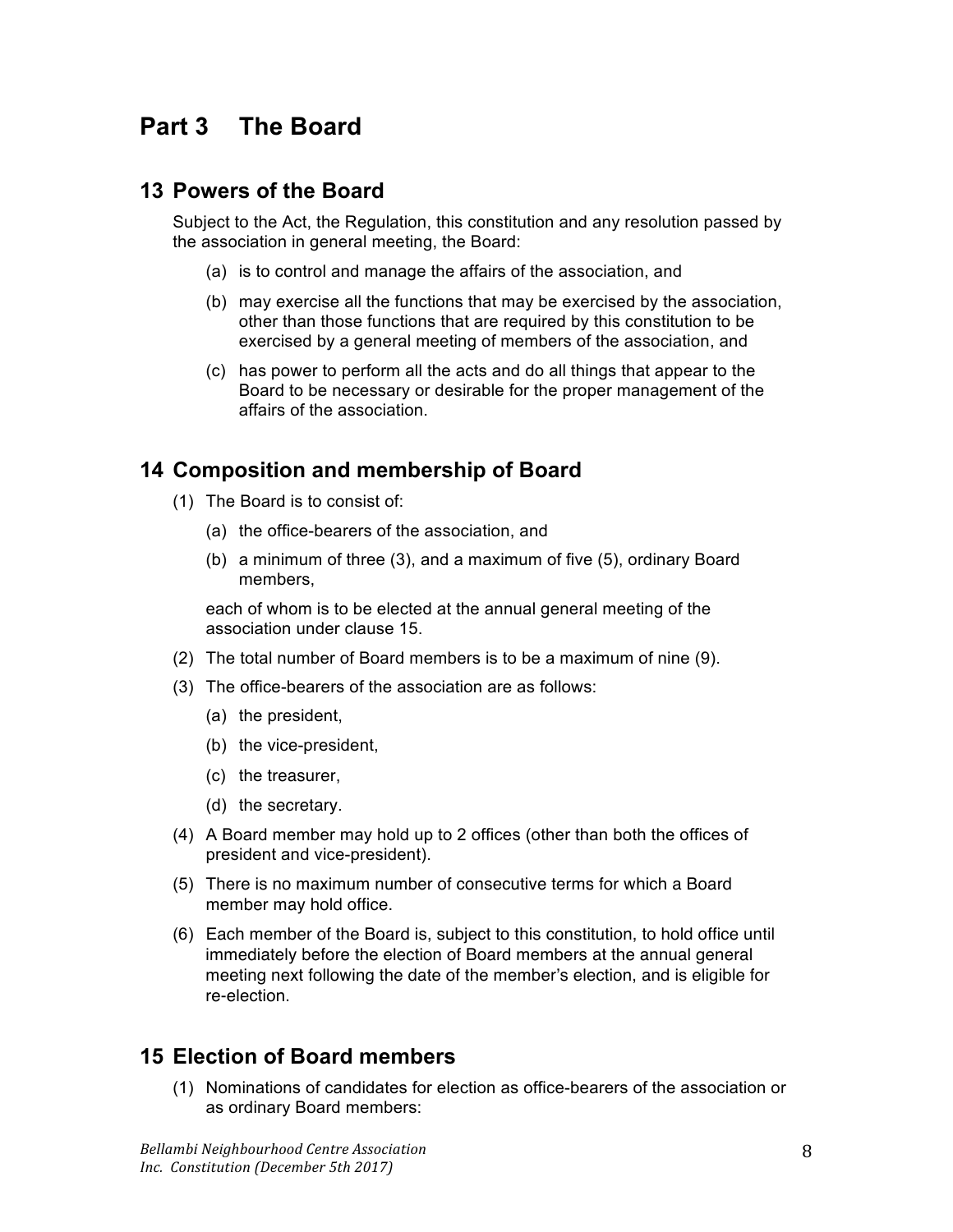# **Part 3 The Board**

## **13 Powers of the Board**

Subject to the Act, the Regulation, this constitution and any resolution passed by the association in general meeting, the Board:

- (a) is to control and manage the affairs of the association, and
- (b) may exercise all the functions that may be exercised by the association, other than those functions that are required by this constitution to be exercised by a general meeting of members of the association, and
- (c) has power to perform all the acts and do all things that appear to the Board to be necessary or desirable for the proper management of the affairs of the association.

## **14 Composition and membership of Board**

- (1) The Board is to consist of:
	- (a) the office-bearers of the association, and
	- (b) a minimum of three (3), and a maximum of five (5), ordinary Board members,

each of whom is to be elected at the annual general meeting of the association under clause 15.

- (2) The total number of Board members is to be a maximum of nine (9).
- (3) The office-bearers of the association are as follows:
	- (a) the president,
	- (b) the vice-president,
	- (c) the treasurer,
	- (d) the secretary.
- (4) A Board member may hold up to 2 offices (other than both the offices of president and vice-president).
- (5) There is no maximum number of consecutive terms for which a Board member may hold office.
- (6) Each member of the Board is, subject to this constitution, to hold office until immediately before the election of Board members at the annual general meeting next following the date of the member's election, and is eligible for re-election.

## **15 Election of Board members**

(1) Nominations of candidates for election as office-bearers of the association or as ordinary Board members: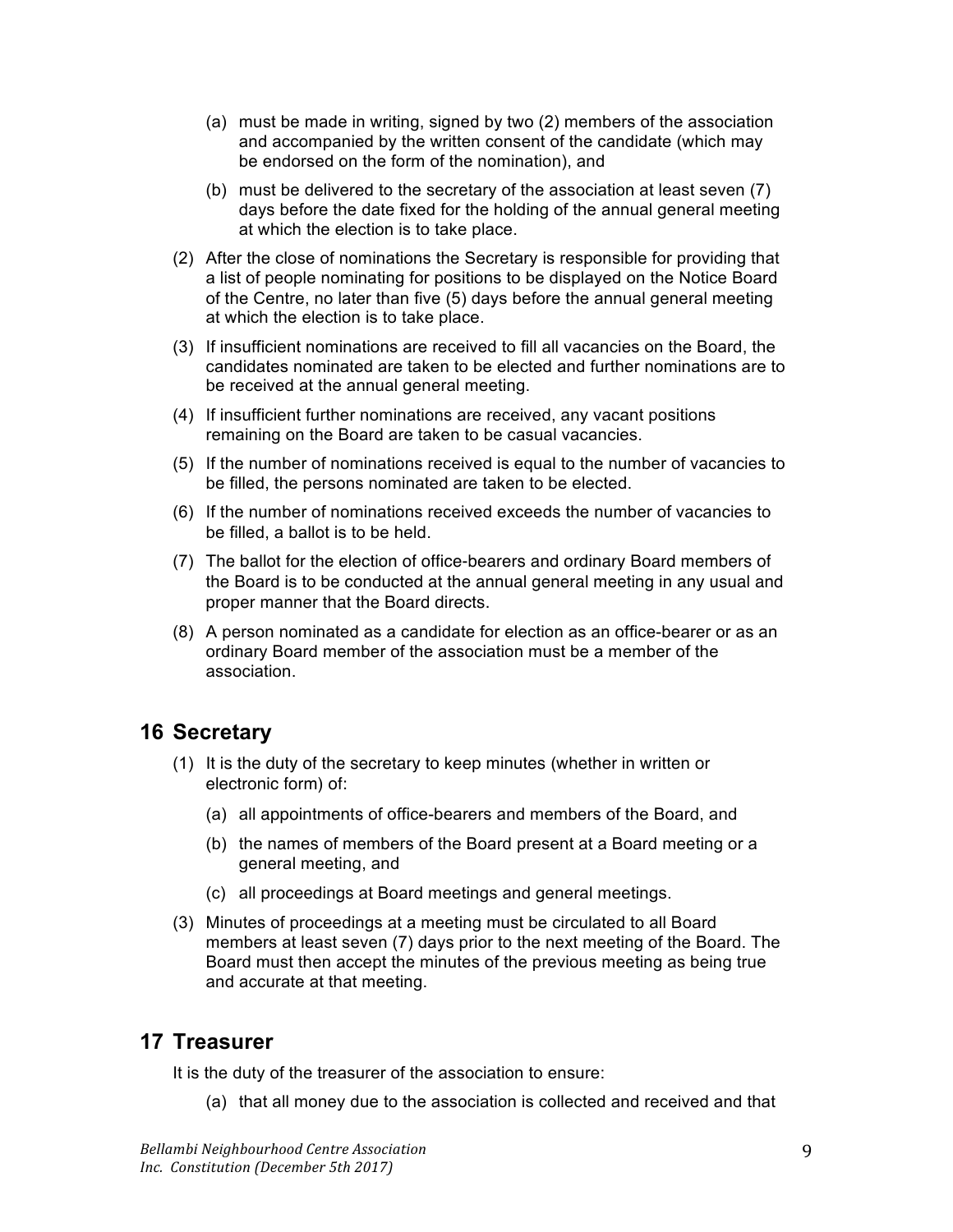- (a) must be made in writing, signed by two (2) members of the association and accompanied by the written consent of the candidate (which may be endorsed on the form of the nomination), and
- (b) must be delivered to the secretary of the association at least seven (7) days before the date fixed for the holding of the annual general meeting at which the election is to take place.
- (2) After the close of nominations the Secretary is responsible for providing that a list of people nominating for positions to be displayed on the Notice Board of the Centre, no later than five (5) days before the annual general meeting at which the election is to take place.
- (3) If insufficient nominations are received to fill all vacancies on the Board, the candidates nominated are taken to be elected and further nominations are to be received at the annual general meeting.
- (4) If insufficient further nominations are received, any vacant positions remaining on the Board are taken to be casual vacancies.
- (5) If the number of nominations received is equal to the number of vacancies to be filled, the persons nominated are taken to be elected.
- (6) If the number of nominations received exceeds the number of vacancies to be filled, a ballot is to be held.
- (7) The ballot for the election of office-bearers and ordinary Board members of the Board is to be conducted at the annual general meeting in any usual and proper manner that the Board directs.
- (8) A person nominated as a candidate for election as an office-bearer or as an ordinary Board member of the association must be a member of the association.

## **16 Secretary**

- (1) It is the duty of the secretary to keep minutes (whether in written or electronic form) of:
	- (a) all appointments of office-bearers and members of the Board, and
	- (b) the names of members of the Board present at a Board meeting or a general meeting, and
	- (c) all proceedings at Board meetings and general meetings.
- (3) Minutes of proceedings at a meeting must be circulated to all Board members at least seven (7) days prior to the next meeting of the Board. The Board must then accept the minutes of the previous meeting as being true and accurate at that meeting.

## **17 Treasurer**

It is the duty of the treasurer of the association to ensure:

(a) that all money due to the association is collected and received and that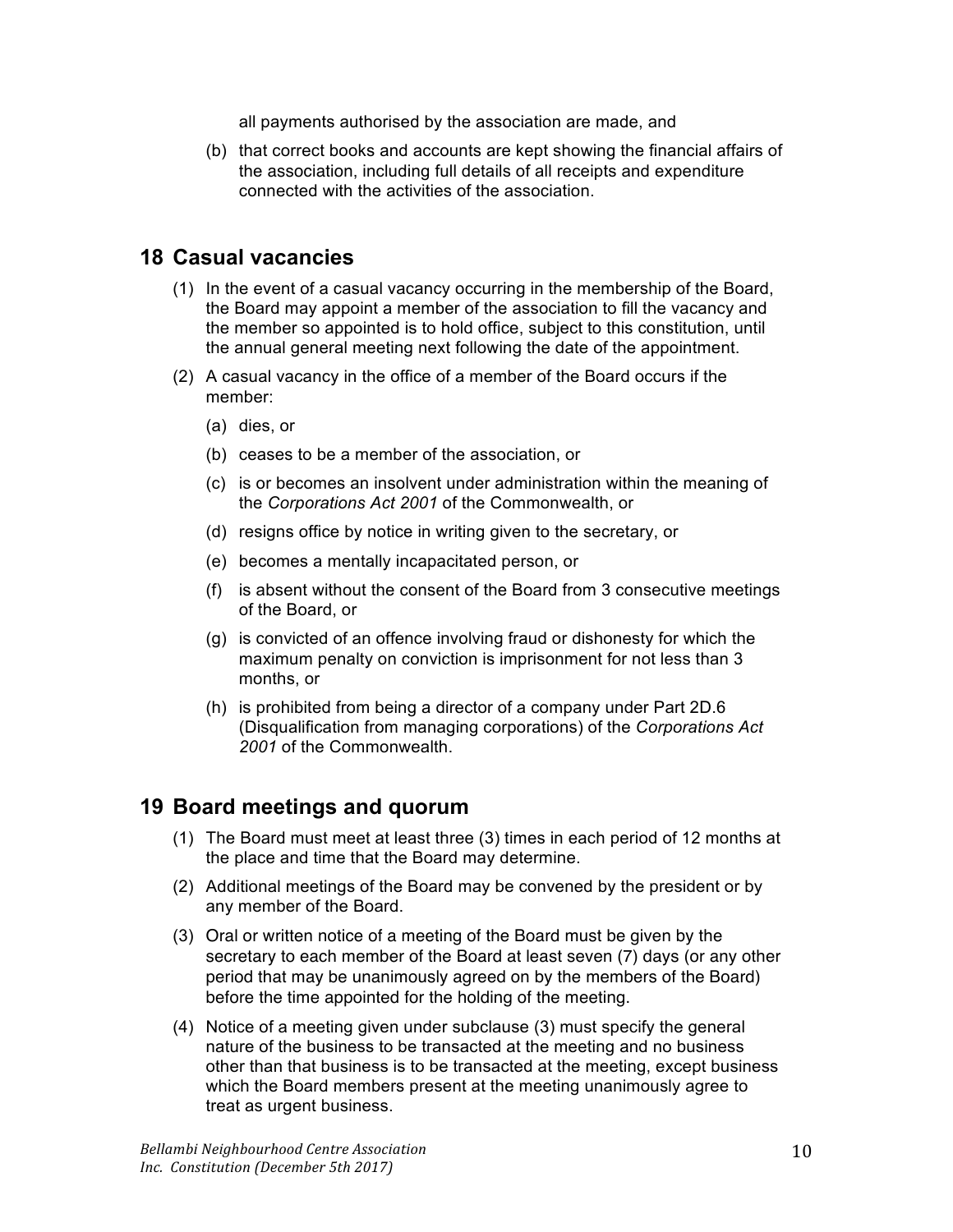all payments authorised by the association are made, and

(b) that correct books and accounts are kept showing the financial affairs of the association, including full details of all receipts and expenditure connected with the activities of the association.

#### **18 Casual vacancies**

- (1) In the event of a casual vacancy occurring in the membership of the Board, the Board may appoint a member of the association to fill the vacancy and the member so appointed is to hold office, subject to this constitution, until the annual general meeting next following the date of the appointment.
- (2) A casual vacancy in the office of a member of the Board occurs if the member:
	- (a) dies, or
	- (b) ceases to be a member of the association, or
	- (c) is or becomes an insolvent under administration within the meaning of the *Corporations Act 2001* of the Commonwealth, or
	- (d) resigns office by notice in writing given to the secretary, or
	- (e) becomes a mentally incapacitated person, or
	- (f) is absent without the consent of the Board from 3 consecutive meetings of the Board, or
	- (g) is convicted of an offence involving fraud or dishonesty for which the maximum penalty on conviction is imprisonment for not less than 3 months, or
	- (h) is prohibited from being a director of a company under Part 2D.6 (Disqualification from managing corporations) of the *Corporations Act 2001* of the Commonwealth.

## **19 Board meetings and quorum**

- (1) The Board must meet at least three (3) times in each period of 12 months at the place and time that the Board may determine.
- (2) Additional meetings of the Board may be convened by the president or by any member of the Board.
- (3) Oral or written notice of a meeting of the Board must be given by the secretary to each member of the Board at least seven (7) days (or any other period that may be unanimously agreed on by the members of the Board) before the time appointed for the holding of the meeting.
- (4) Notice of a meeting given under subclause (3) must specify the general nature of the business to be transacted at the meeting and no business other than that business is to be transacted at the meeting, except business which the Board members present at the meeting unanimously agree to treat as urgent business.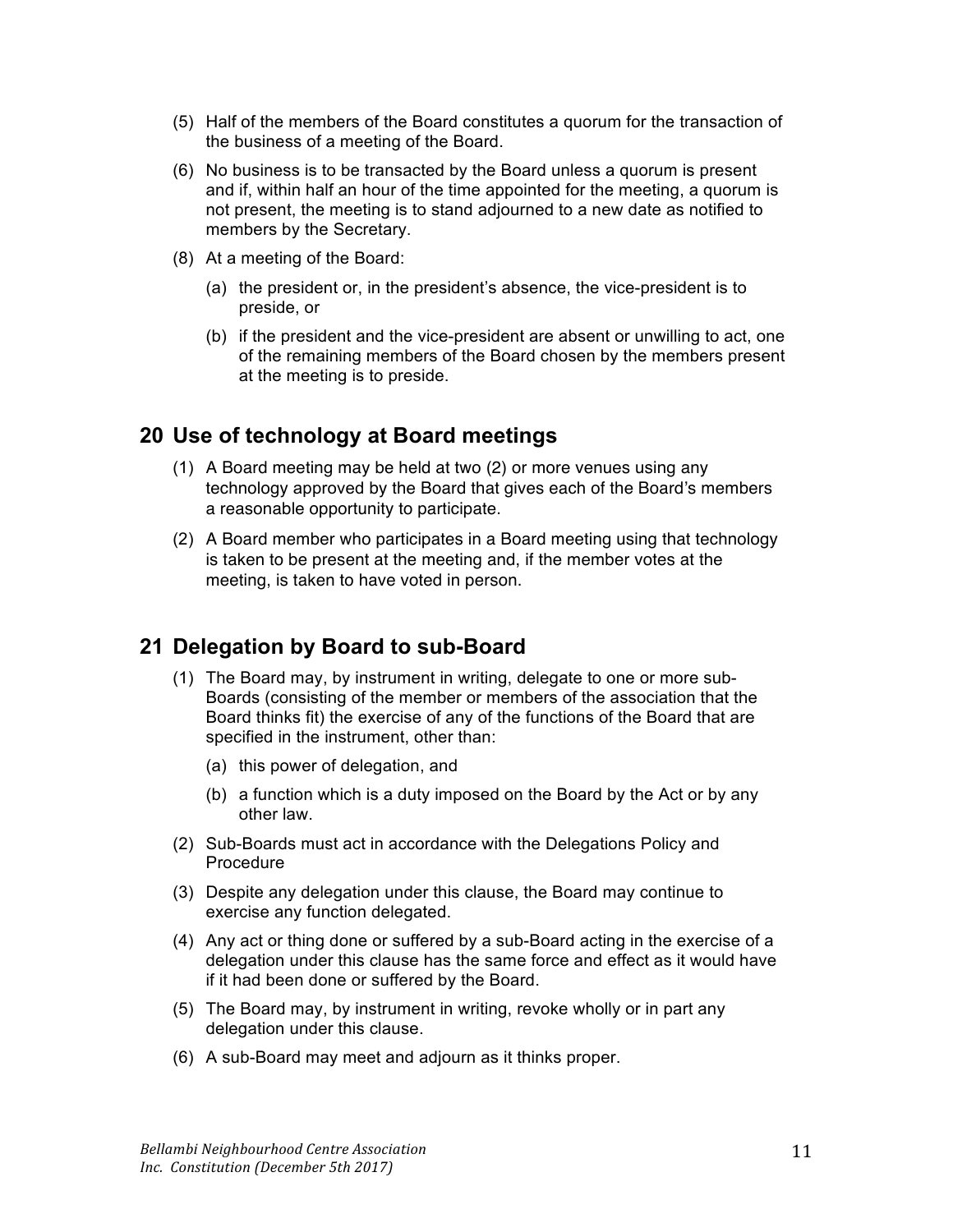- (5) Half of the members of the Board constitutes a quorum for the transaction of the business of a meeting of the Board.
- (6) No business is to be transacted by the Board unless a quorum is present and if, within half an hour of the time appointed for the meeting, a quorum is not present, the meeting is to stand adjourned to a new date as notified to members by the Secretary.
- (8) At a meeting of the Board:
	- (a) the president or, in the president's absence, the vice-president is to preside, or
	- (b) if the president and the vice-president are absent or unwilling to act, one of the remaining members of the Board chosen by the members present at the meeting is to preside.

## **20 Use of technology at Board meetings**

- (1) A Board meeting may be held at two (2) or more venues using any technology approved by the Board that gives each of the Board's members a reasonable opportunity to participate.
- (2) A Board member who participates in a Board meeting using that technology is taken to be present at the meeting and, if the member votes at the meeting, is taken to have voted in person.

## **21 Delegation by Board to sub-Board**

- (1) The Board may, by instrument in writing, delegate to one or more sub-Boards (consisting of the member or members of the association that the Board thinks fit) the exercise of any of the functions of the Board that are specified in the instrument, other than:
	- (a) this power of delegation, and
	- (b) a function which is a duty imposed on the Board by the Act or by any other law.
- (2) Sub-Boards must act in accordance with the Delegations Policy and Procedure
- (3) Despite any delegation under this clause, the Board may continue to exercise any function delegated.
- (4) Any act or thing done or suffered by a sub-Board acting in the exercise of a delegation under this clause has the same force and effect as it would have if it had been done or suffered by the Board.
- (5) The Board may, by instrument in writing, revoke wholly or in part any delegation under this clause.
- (6) A sub-Board may meet and adjourn as it thinks proper.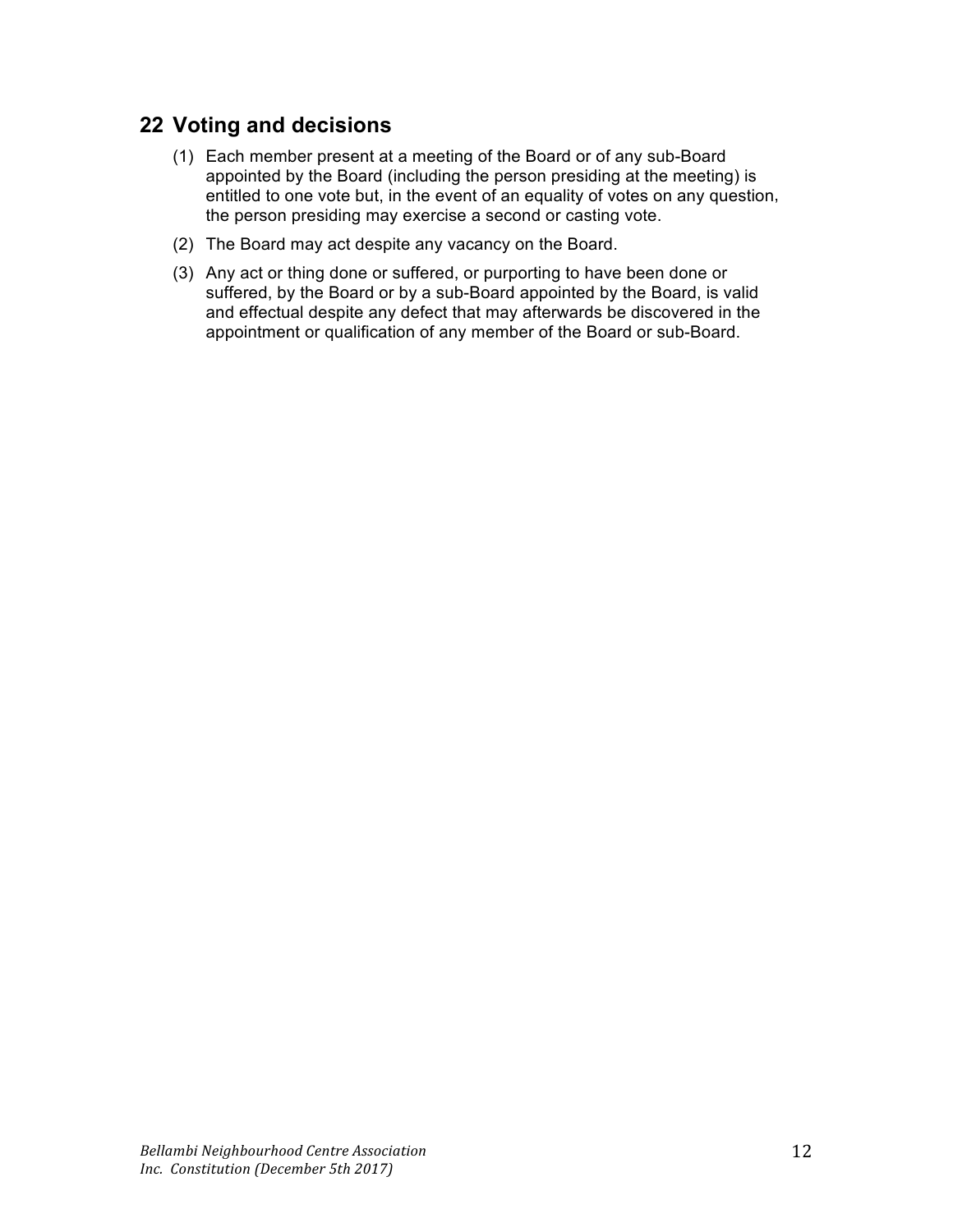## **22 Voting and decisions**

- (1) Each member present at a meeting of the Board or of any sub-Board appointed by the Board (including the person presiding at the meeting) is entitled to one vote but, in the event of an equality of votes on any question, the person presiding may exercise a second or casting vote.
- (2) The Board may act despite any vacancy on the Board.
- (3) Any act or thing done or suffered, or purporting to have been done or suffered, by the Board or by a sub-Board appointed by the Board, is valid and effectual despite any defect that may afterwards be discovered in the appointment or qualification of any member of the Board or sub-Board.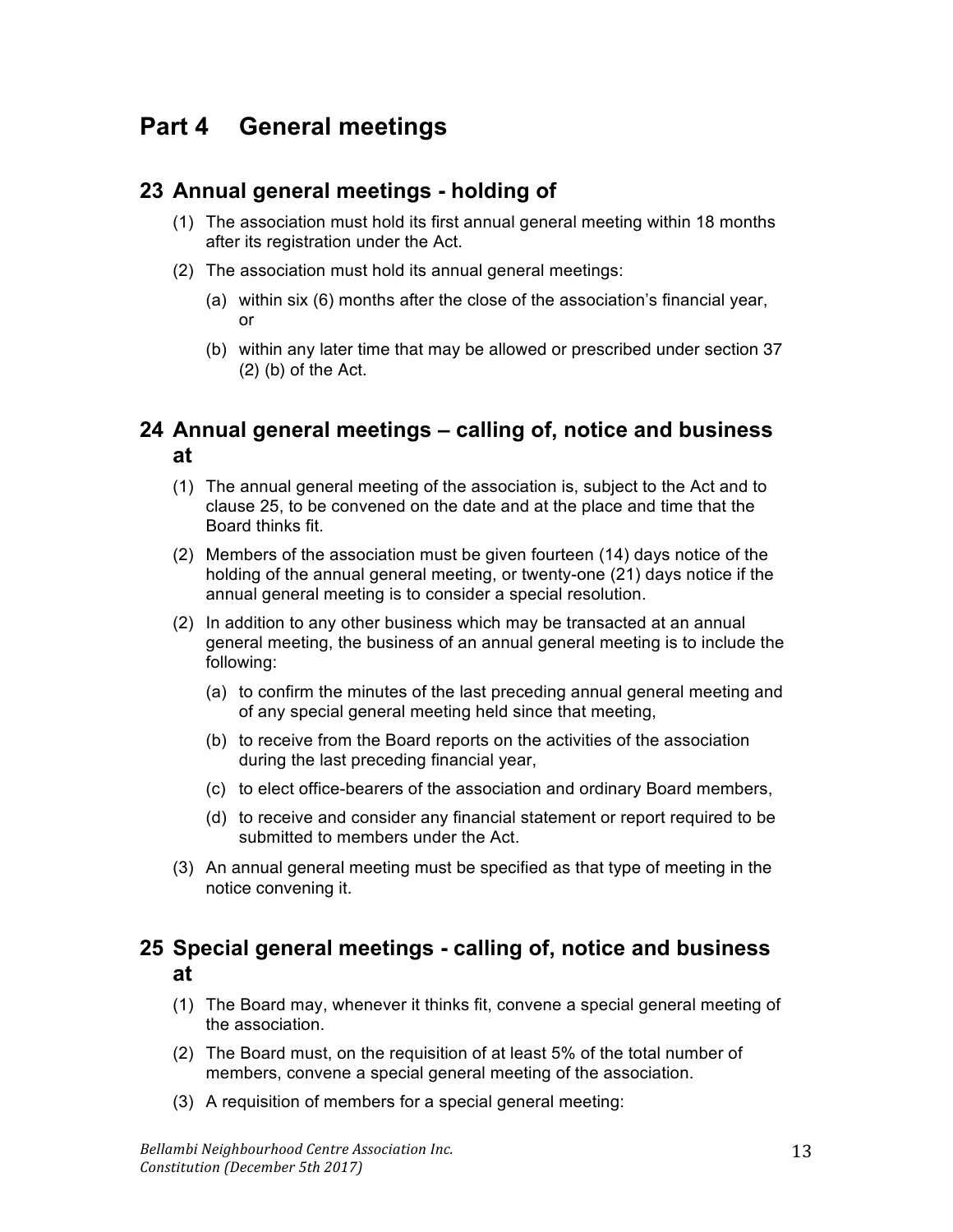## **Part 4 General meetings**

## **23 Annual general meetings - holding of**

- (1) The association must hold its first annual general meeting within 18 months after its registration under the Act.
- (2) The association must hold its annual general meetings:
	- (a) within six (6) months after the close of the association's financial year, or
	- (b) within any later time that may be allowed or prescribed under section 37 (2) (b) of the Act.

## **24 Annual general meetings – calling of, notice and business at**

- (1) The annual general meeting of the association is, subject to the Act and to clause 25, to be convened on the date and at the place and time that the Board thinks fit.
- (2) Members of the association must be given fourteen (14) days notice of the holding of the annual general meeting, or twenty-one (21) days notice if the annual general meeting is to consider a special resolution.
- (2) In addition to any other business which may be transacted at an annual general meeting, the business of an annual general meeting is to include the following:
	- (a) to confirm the minutes of the last preceding annual general meeting and of any special general meeting held since that meeting,
	- (b) to receive from the Board reports on the activities of the association during the last preceding financial year,
	- (c) to elect office-bearers of the association and ordinary Board members,
	- (d) to receive and consider any financial statement or report required to be submitted to members under the Act.
- (3) An annual general meeting must be specified as that type of meeting in the notice convening it.

## **25 Special general meetings - calling of, notice and business at**

- (1) The Board may, whenever it thinks fit, convene a special general meeting of the association.
- (2) The Board must, on the requisition of at least 5% of the total number of members, convene a special general meeting of the association.
- (3) A requisition of members for a special general meeting: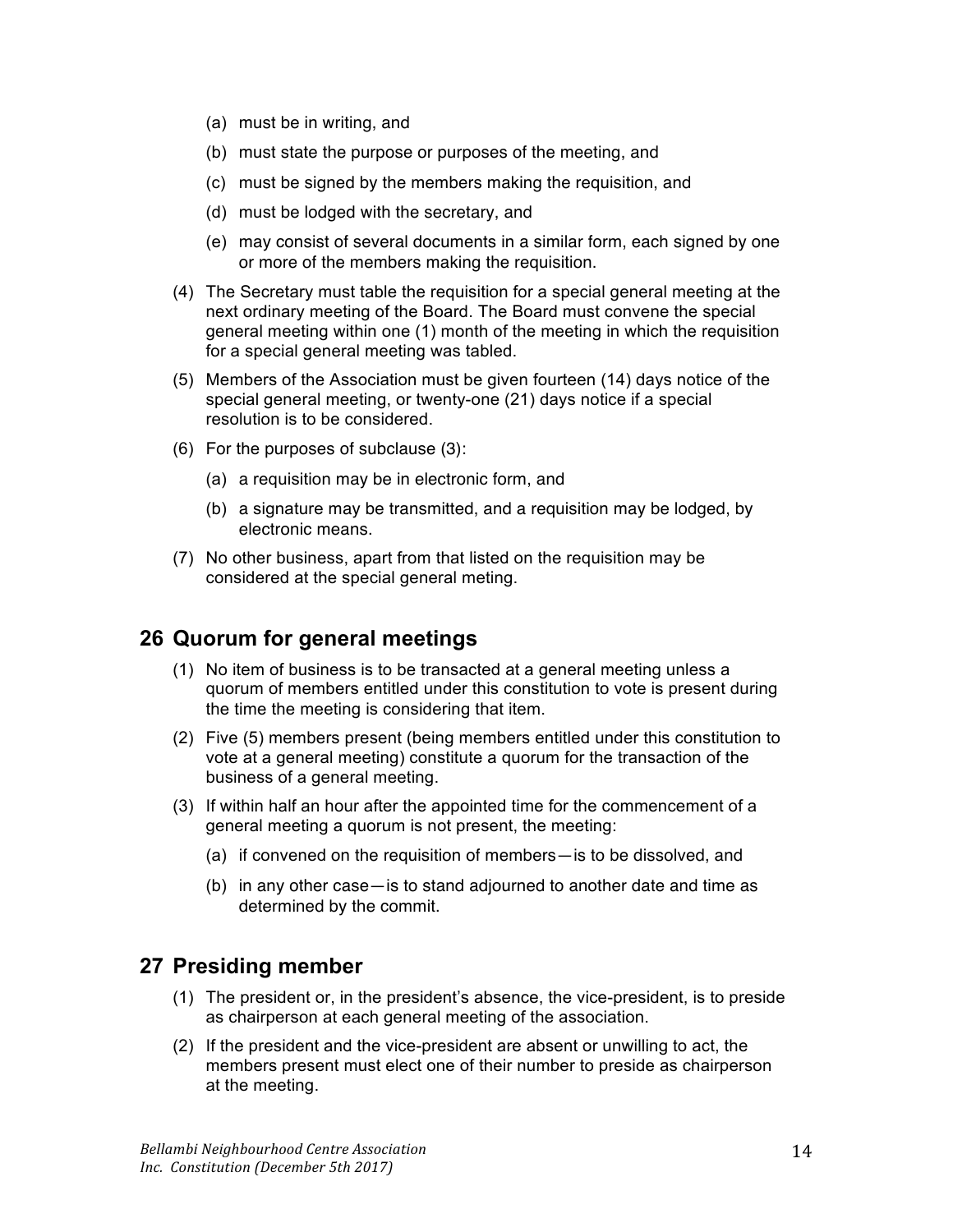- (a) must be in writing, and
- (b) must state the purpose or purposes of the meeting, and
- (c) must be signed by the members making the requisition, and
- (d) must be lodged with the secretary, and
- (e) may consist of several documents in a similar form, each signed by one or more of the members making the requisition.
- (4) The Secretary must table the requisition for a special general meeting at the next ordinary meeting of the Board. The Board must convene the special general meeting within one (1) month of the meeting in which the requisition for a special general meeting was tabled.
- (5) Members of the Association must be given fourteen (14) days notice of the special general meeting, or twenty-one (21) days notice if a special resolution is to be considered.
- (6) For the purposes of subclause (3):
	- (a) a requisition may be in electronic form, and
	- (b) a signature may be transmitted, and a requisition may be lodged, by electronic means.
- (7) No other business, apart from that listed on the requisition may be considered at the special general meting.

## **26 Quorum for general meetings**

- (1) No item of business is to be transacted at a general meeting unless a quorum of members entitled under this constitution to vote is present during the time the meeting is considering that item.
- (2) Five (5) members present (being members entitled under this constitution to vote at a general meeting) constitute a quorum for the transaction of the business of a general meeting.
- (3) If within half an hour after the appointed time for the commencement of a general meeting a quorum is not present, the meeting:
	- (a) if convened on the requisition of members—is to be dissolved, and
	- (b) in any other case—is to stand adjourned to another date and time as determined by the commit.

#### **27 Presiding member**

- (1) The president or, in the president's absence, the vice-president, is to preside as chairperson at each general meeting of the association.
- (2) If the president and the vice-president are absent or unwilling to act, the members present must elect one of their number to preside as chairperson at the meeting.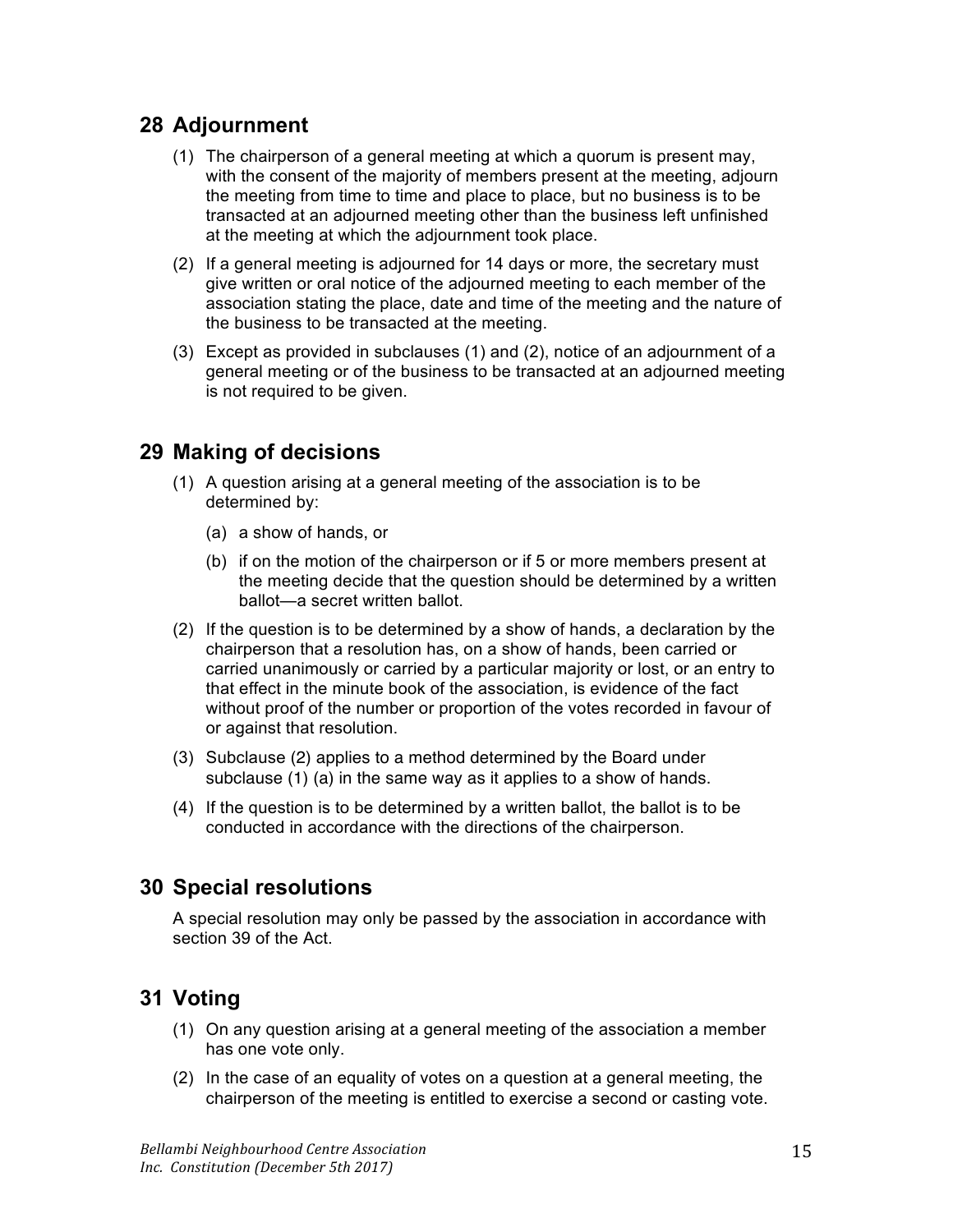## **28 Adjournment**

- (1) The chairperson of a general meeting at which a quorum is present may, with the consent of the majority of members present at the meeting, adjourn the meeting from time to time and place to place, but no business is to be transacted at an adjourned meeting other than the business left unfinished at the meeting at which the adjournment took place.
- (2) If a general meeting is adjourned for 14 days or more, the secretary must give written or oral notice of the adjourned meeting to each member of the association stating the place, date and time of the meeting and the nature of the business to be transacted at the meeting.
- (3) Except as provided in subclauses (1) and (2), notice of an adjournment of a general meeting or of the business to be transacted at an adjourned meeting is not required to be given.

## **29 Making of decisions**

- (1) A question arising at a general meeting of the association is to be determined by:
	- (a) a show of hands, or
	- (b) if on the motion of the chairperson or if 5 or more members present at the meeting decide that the question should be determined by a written ballot—a secret written ballot.
- (2) If the question is to be determined by a show of hands, a declaration by the chairperson that a resolution has, on a show of hands, been carried or carried unanimously or carried by a particular majority or lost, or an entry to that effect in the minute book of the association, is evidence of the fact without proof of the number or proportion of the votes recorded in favour of or against that resolution.
- (3) Subclause (2) applies to a method determined by the Board under subclause (1) (a) in the same way as it applies to a show of hands.
- (4) If the question is to be determined by a written ballot, the ballot is to be conducted in accordance with the directions of the chairperson.

## **30 Special resolutions**

A special resolution may only be passed by the association in accordance with section 39 of the Act.

## **31 Voting**

- (1) On any question arising at a general meeting of the association a member has one vote only.
- (2) In the case of an equality of votes on a question at a general meeting, the chairperson of the meeting is entitled to exercise a second or casting vote.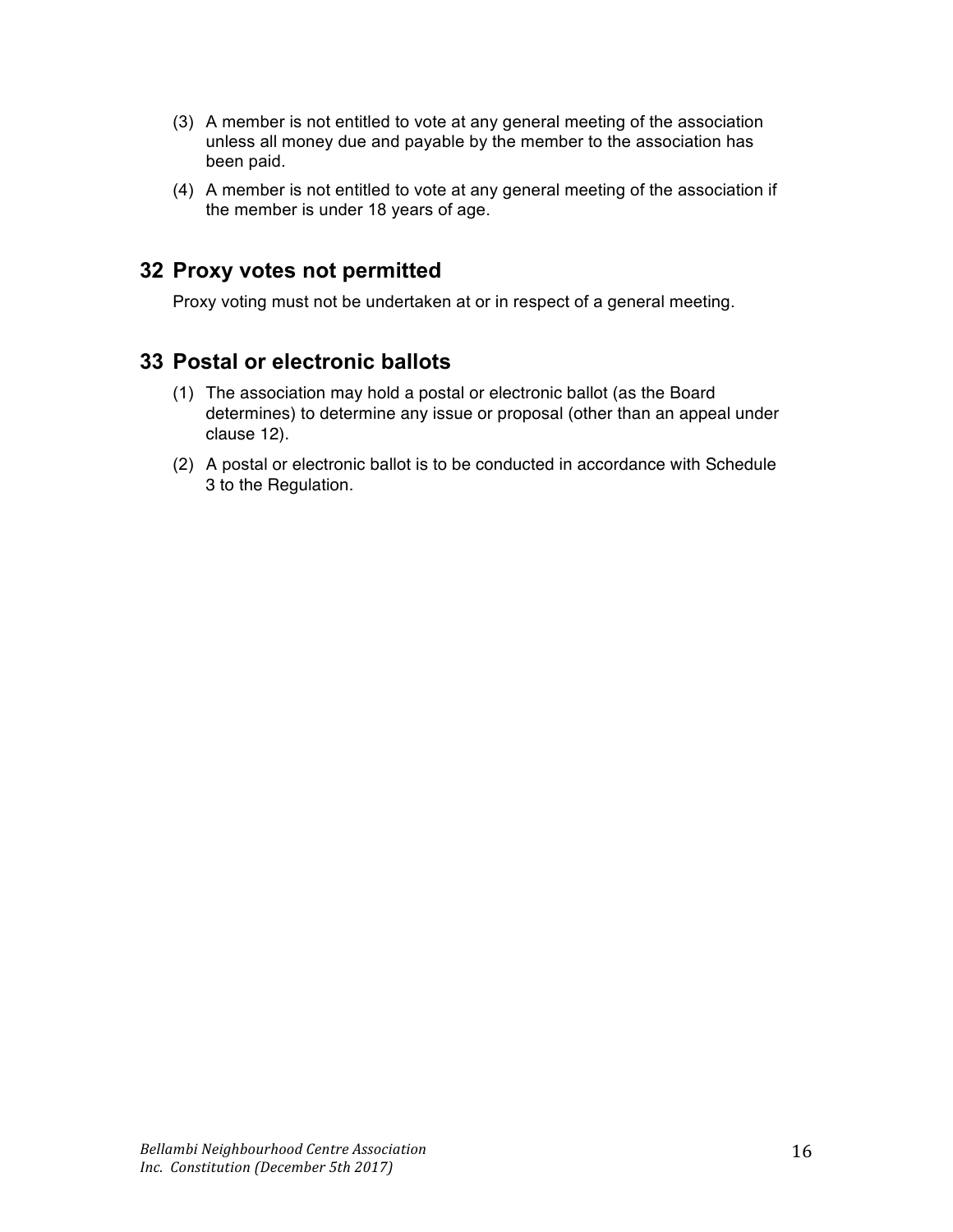- (3) A member is not entitled to vote at any general meeting of the association unless all money due and payable by the member to the association has been paid.
- (4) A member is not entitled to vote at any general meeting of the association if the member is under 18 years of age.

#### **32 Proxy votes not permitted**

Proxy voting must not be undertaken at or in respect of a general meeting.

## **33 Postal or electronic ballots**

- (1) The association may hold a postal or electronic ballot (as the Board determines) to determine any issue or proposal (other than an appeal under clause 12).
- (2) A postal or electronic ballot is to be conducted in accordance with Schedule 3 to the Regulation.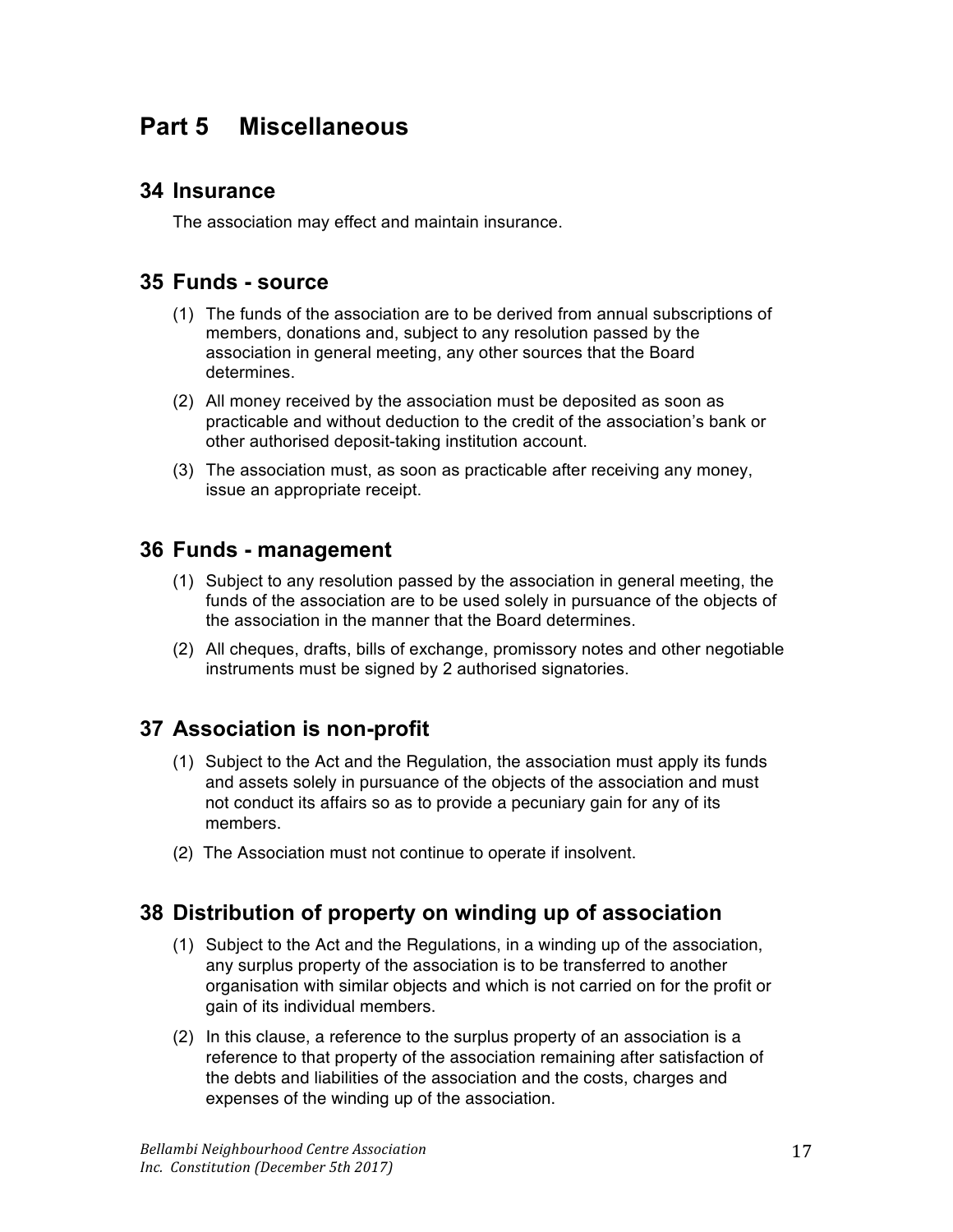# **Part 5 Miscellaneous**

#### **34 Insurance**

The association may effect and maintain insurance.

#### **35 Funds - source**

- (1) The funds of the association are to be derived from annual subscriptions of members, donations and, subject to any resolution passed by the association in general meeting, any other sources that the Board determines.
- (2) All money received by the association must be deposited as soon as practicable and without deduction to the credit of the association's bank or other authorised deposit-taking institution account.
- (3) The association must, as soon as practicable after receiving any money, issue an appropriate receipt.

#### **36 Funds - management**

- (1) Subject to any resolution passed by the association in general meeting, the funds of the association are to be used solely in pursuance of the objects of the association in the manner that the Board determines.
- (2) All cheques, drafts, bills of exchange, promissory notes and other negotiable instruments must be signed by 2 authorised signatories.

## **37 Association is non-profit**

- (1) Subject to the Act and the Regulation, the association must apply its funds and assets solely in pursuance of the objects of the association and must not conduct its affairs so as to provide a pecuniary gain for any of its members.
- (2) The Association must not continue to operate if insolvent.

## **38 Distribution of property on winding up of association**

- (1) Subject to the Act and the Regulations, in a winding up of the association, any surplus property of the association is to be transferred to another organisation with similar objects and which is not carried on for the profit or gain of its individual members.
- (2) In this clause, a reference to the surplus property of an association is a reference to that property of the association remaining after satisfaction of the debts and liabilities of the association and the costs, charges and expenses of the winding up of the association.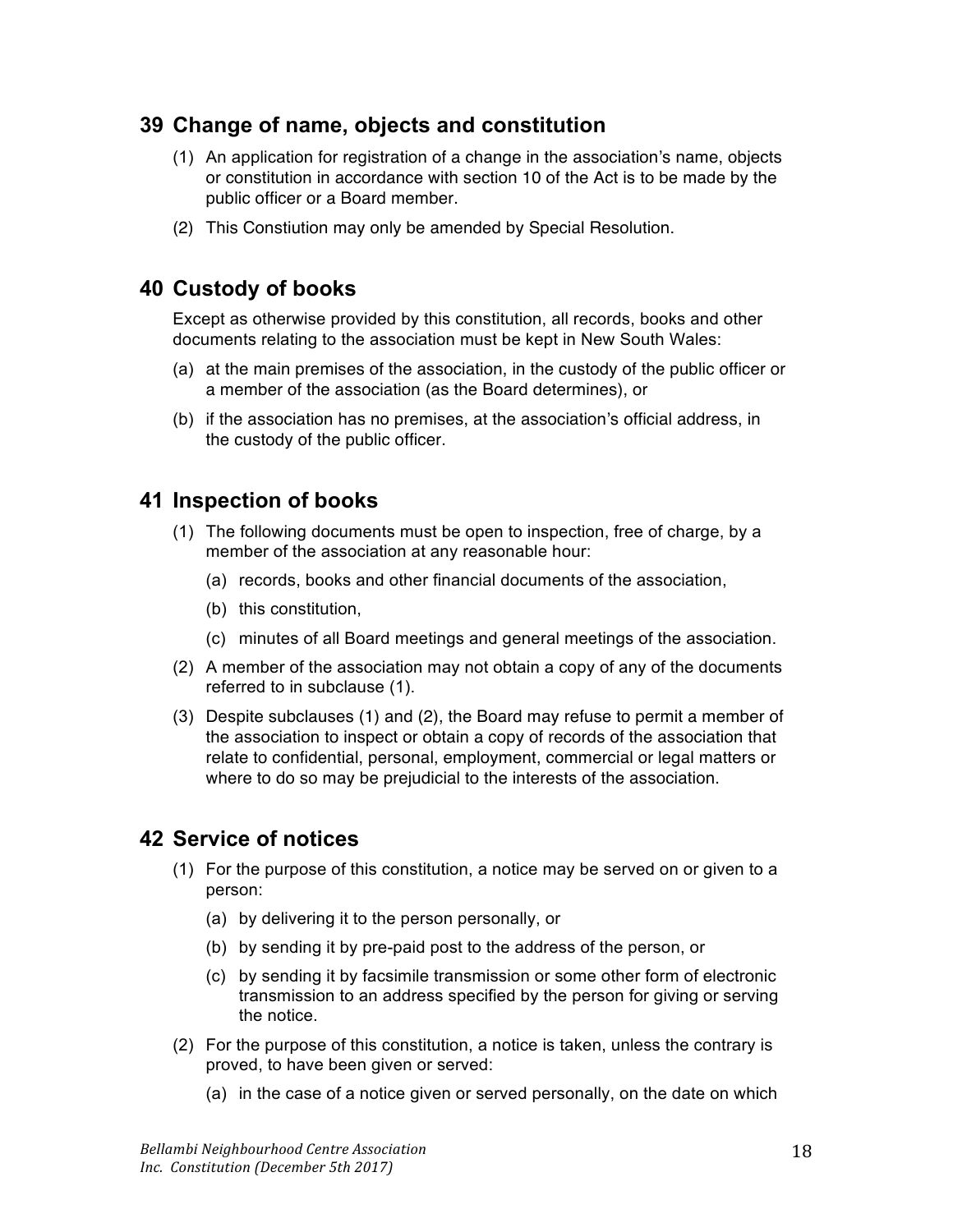## **39 Change of name, objects and constitution**

- (1) An application for registration of a change in the association's name, objects or constitution in accordance with section 10 of the Act is to be made by the public officer or a Board member.
- (2) This Constiution may only be amended by Special Resolution.

## **40 Custody of books**

Except as otherwise provided by this constitution, all records, books and other documents relating to the association must be kept in New South Wales:

- (a) at the main premises of the association, in the custody of the public officer or a member of the association (as the Board determines), or
- (b) if the association has no premises, at the association's official address, in the custody of the public officer.

#### **41 Inspection of books**

- (1) The following documents must be open to inspection, free of charge, by a member of the association at any reasonable hour:
	- (a) records, books and other financial documents of the association,
	- (b) this constitution,
	- (c) minutes of all Board meetings and general meetings of the association.
- (2) A member of the association may not obtain a copy of any of the documents referred to in subclause (1).
- (3) Despite subclauses (1) and (2), the Board may refuse to permit a member of the association to inspect or obtain a copy of records of the association that relate to confidential, personal, employment, commercial or legal matters or where to do so may be prejudicial to the interests of the association.

## **42 Service of notices**

- (1) For the purpose of this constitution, a notice may be served on or given to a person:
	- (a) by delivering it to the person personally, or
	- (b) by sending it by pre-paid post to the address of the person, or
	- (c) by sending it by facsimile transmission or some other form of electronic transmission to an address specified by the person for giving or serving the notice.
- (2) For the purpose of this constitution, a notice is taken, unless the contrary is proved, to have been given or served:
	- (a) in the case of a notice given or served personally, on the date on which